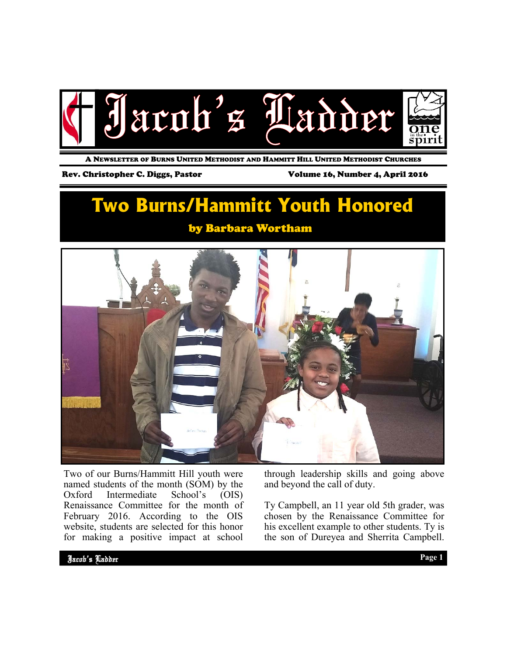

A NEWSLETTER OF BURNS UNITED METHODIST AND HAMMITT HILL UNITED METHODIST CHURCHES

#### Rev. Christopher C. Diggs, Pastor Volume 16, Number 4, April 2016

# **Two Burns/Hammitt Youth Honored**

### by Barbara Wortham



Two of our Burns/Hammitt Hill youth were named students of the month (SOM) by the Oxford Intermediate School's (OIS) Renaissance Committee for the month of February 2016. According to the OIS website, students are selected for this honor for making a positive impact at school

through leadership skills and going above and beyond the call of duty.

Ty Campbell, an 11 year old 5th grader, was chosen by the Renaissance Committee for his excellent example to other students. Ty is the son of Dureyea and Sherrita Campbell.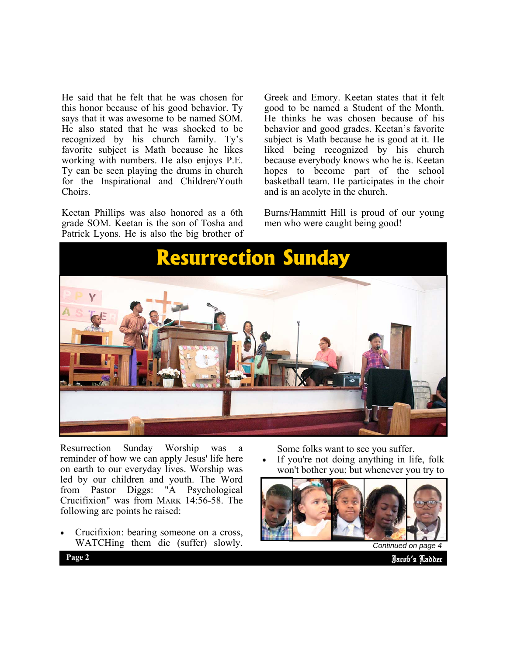He said that he felt that he was chosen for this honor because of his good behavior. Ty says that it was awesome to be named SOM. He also stated that he was shocked to be recognized by his church family. Ty's favorite subject is Math because he likes working with numbers. He also enjoys P.E. Ty can be seen playing the drums in church for the Inspirational and Children/Youth Choirs.

Keetan Phillips was also honored as a 6th grade SOM. Keetan is the son of Tosha and Patrick Lyons. He is also the big brother of Greek and Emory. Keetan states that it felt good to be named a Student of the Month. He thinks he was chosen because of his behavior and good grades. Keetan's favorite subject is Math because he is good at it. He liked being recognized by his church because everybody knows who he is. Keetan hopes to become part of the school basketball team. He participates in the choir and is an acolyte in the church.

Burns/Hammitt Hill is proud of our young men who were caught being good!



Resurrection Sunday Worship was reminder of how we can apply Jesus' life here on earth to our everyday lives. Worship was led by our children and youth. The Word from Pastor Diggs: "A Psychological Crucifixion" was from MARK 14:56-58. The following are points he raised:

 Crucifixion: bearing someone on a cross, WATCHing them die (suffer) slowly. Some folks want to see you suffer.

 If you're not doing anything in life, folk won't bother you; but whenever you try to



*Continued on page* 

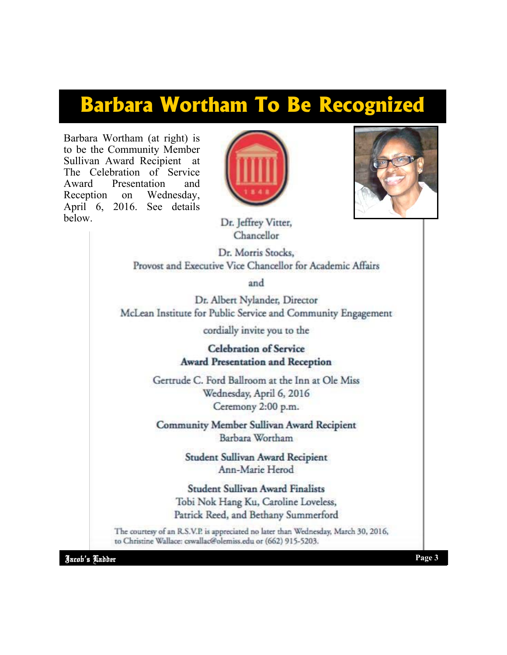# **Barbara Wortham To Be Recognized**

Barbara Wortham (at right) is to be the Community Member Sullivan Award Recipient at The Celebration of Service Award Presentation and Reception on Wednesday, April 6, 2016. See details below.





Dr. Jeffrey Vitter, Chancellor

Dr. Morris Stocks. Provost and Executive Vice Chancellor for Academic Affairs

and

Dr. Albert Nylander, Director McLean Institute for Public Service and Community Engagement

cordially invite you to the

**Celebration of Service Award Presentation and Reception** 

Gertrude C. Ford Ballroom at the Inn at Ole Miss Wednesday, April 6, 2016 Ceremony 2:00 p.m.

Community Member Sullivan Award Recipient Barbara Wortham

> Student Sullivan Award Recipient Ann-Marie Herod

**Student Sullivan Award Finalists** Tobi Nok Hang Ku, Caroline Loveless, Patrick Reed, and Bethany Summerford

The courtesy of an R.S.V.P. is appreciated no later than Wednesday, March 30, 2016, to Christine Wallace: cswallac@olemiss.edu or (662) 915-5203.